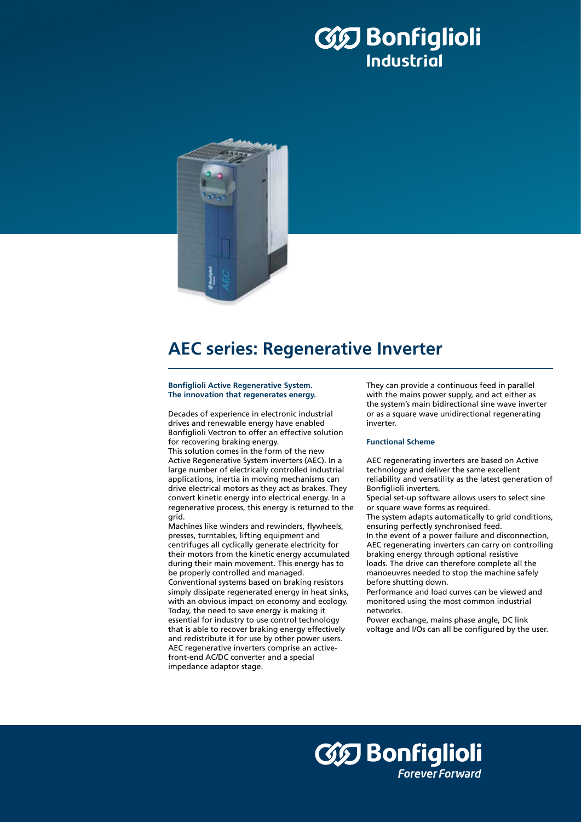# 35 Bonfiglioli **Industrial**



## **AEC series: Regenerative Inverter**

#### **Bonfiglioli Active Regenerative System. The innovation that regenerates energy.**

Decades of experience in electronic industrial drives and renewable energy have enabled Bonfiglioli Vectron to offer an effective solution for recovering braking energy.

This solution comes in the form of the new Active Regenerative System inverters (AEC). In a large number of electrically controlled industrial applications, inertia in moving mechanisms can drive electrical motors as they act as brakes. They convert kinetic energy into electrical energy. In a regenerative process, this energy is returned to the grid.

Machines like winders and rewinders, flywheels, presses, turntables, lifting equipment and centrifuges all cyclically generate electricity for their motors from the kinetic energy accumulated during their main movement. This energy has to be properly controlled and managed. Conventional systems based on braking resistors simply dissipate regenerated energy in heat sinks, with an obvious impact on economy and ecology. Today, the need to save energy is making it essential for industry to use control technology that is able to recover braking energy effectively and redistribute it for use by other power users. AEC regenerative inverters comprise an activefront-end AC/DC converter and a special impedance adaptor stage.

They can provide a continuous feed in parallel with the mains power supply, and act either as the system's main bidirectional sine wave inverter or as a square wave unidirectional regenerating inverter.

### **Functional Scheme**

AEC regenerating inverters are based on Active technology and deliver the same excellent reliability and versatility as the latest generation of Bonfiglioli inverters. Special set-up software allows users to select sine or square wave forms as required. The system adapts automatically to grid conditions, ensuring perfectly synchronised feed. In the event of a power failure and disconnection, AEC regenerating inverters can carry on controlling

braking energy through optional resistive loads. The drive can therefore complete all the manoeuvres needed to stop the machine safely before shutting down.

Performance and load curves can be viewed and monitored using the most common industrial networks.

Power exchange, mains phase angle, DC link voltage and I/Os can all be configured by the user.